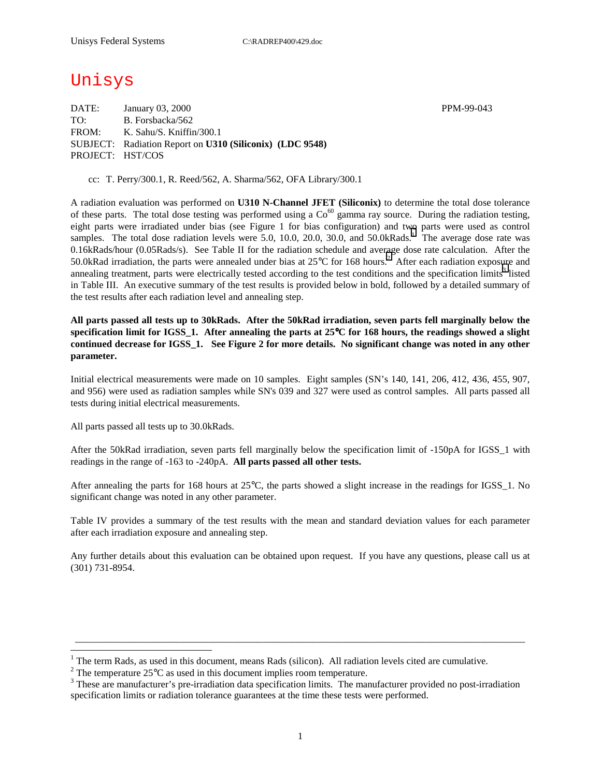## Unisys

DATE: January 03, 2000 PPM-99-043 TO: B. Forsbacka/562 FROM: K. Sahu/S. Kniffin/300.1 SUBJECT: Radiation Report on **U310 (Siliconix) (LDC 9548)** PROJECT: HST/COS

cc: T. Perry/300.1, R. Reed/562, A. Sharma/562, OFA Library/300.1

A radiation evaluation was performed on **U310 N-Channel JFET (Siliconix)** to determine the total dose tolerance of these parts. The total dose testing was performed using a  $Co<sup>60</sup>$  gamma ray source. During the radiation testing, eight parts were irradiated under bias (see Figure 1 for bias configuration) and two parts were used as control samples. The total dose radiation levels were 5.0, 10.0, 20.0, 30.0, and 50.0kRads.<sup>1</sup> The average dose rate was 0.16kRads/hour (0.05Rads/s). See Table II for the radiation schedule and average dose rate calculation. After the 50.0kRad irradiation, the parts were annealed under bias at  $25^{\circ}$ C for 168 hours.<sup>2</sup> After each radiation exposure and annealing treatment, parts were electrically tested according to the test conditions and the specification limits<sup>3</sup> listed in Table III. An executive summary of the test results is provided below in bold, followed by a detailed summary of the test results after each radiation level and annealing step.

**All parts passed all tests up to 30kRads. After the 50kRad irradiation, seven parts fell marginally below the specification limit for IGSS\_1. After annealing the parts at 25**°**C for 168 hours, the readings showed a slight continued decrease for IGSS\_1. See Figure 2 for more details. No significant change was noted in any other parameter.** 

Initial electrical measurements were made on 10 samples. Eight samples (SN's 140, 141, 206, 412, 436, 455, 907, and 956) were used as radiation samples while SN's 039 and 327 were used as control samples. All parts passed all tests during initial electrical measurements.

All parts passed all tests up to 30.0kRads.

 $\overline{a}$ 

After the 50kRad irradiation, seven parts fell marginally below the specification limit of -150pA for IGSS\_1 with readings in the range of -163 to -240pA. **All parts passed all other tests.**

After annealing the parts for 168 hours at 25°C, the parts showed a slight increase in the readings for IGSS\_1. No significant change was noted in any other parameter.

Table IV provides a summary of the test results with the mean and standard deviation values for each parameter after each irradiation exposure and annealing step.

Any further details about this evaluation can be obtained upon request. If you have any questions, please call us at (301) 731-8954.

\_\_\_\_\_\_\_\_\_\_\_\_\_\_\_\_\_\_\_\_\_\_\_\_\_\_\_\_\_\_\_\_\_\_\_\_\_\_\_\_\_\_\_\_\_\_\_\_\_\_\_\_\_\_\_\_\_\_\_\_\_\_\_\_\_\_\_\_\_\_\_\_\_\_\_\_\_\_\_\_\_\_\_\_\_\_\_\_\_\_\_

<sup>&</sup>lt;sup>1</sup> The term Rads, as used in this document, means Rads (silicon). All radiation levels cited are cumulative.

<sup>&</sup>lt;sup>2</sup> The temperature 25 $^{\circ}$ C as used in this document implies room temperature.  $^3$  These are manufacturer's are irrediction date apositionism limits. The manufacturer's

<sup>&</sup>lt;sup>3</sup> These are manufacturer's pre-irradiation data specification limits. The manufacturer provided no post-irradiation specification limits or radiation tolerance guarantees at the time these tests were performed.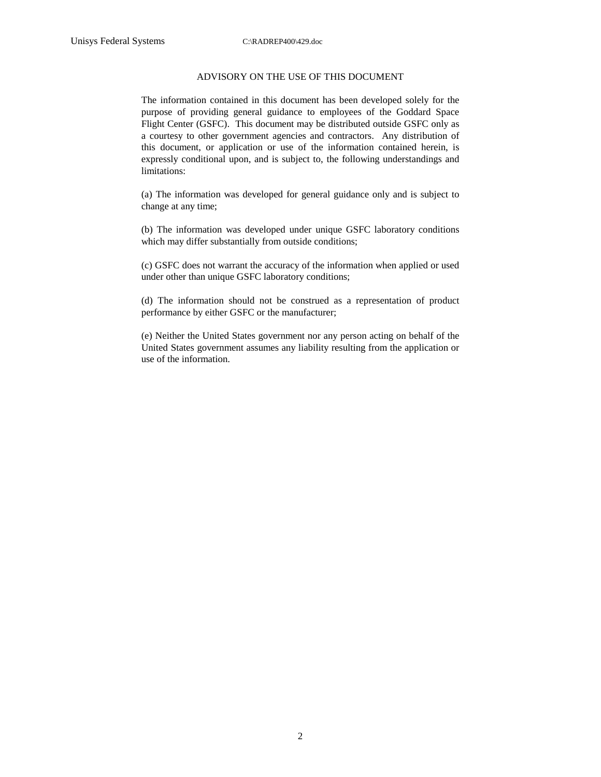#### ADVISORY ON THE USE OF THIS DOCUMENT

The information contained in this document has been developed solely for the purpose of providing general guidance to employees of the Goddard Space Flight Center (GSFC). This document may be distributed outside GSFC only as a courtesy to other government agencies and contractors. Any distribution of this document, or application or use of the information contained herein, is expressly conditional upon, and is subject to, the following understandings and limitations:

(a) The information was developed for general guidance only and is subject to change at any time;

(b) The information was developed under unique GSFC laboratory conditions which may differ substantially from outside conditions;

(c) GSFC does not warrant the accuracy of the information when applied or used under other than unique GSFC laboratory conditions;

(d) The information should not be construed as a representation of product performance by either GSFC or the manufacturer;

(e) Neither the United States government nor any person acting on behalf of the United States government assumes any liability resulting from the application or use of the information.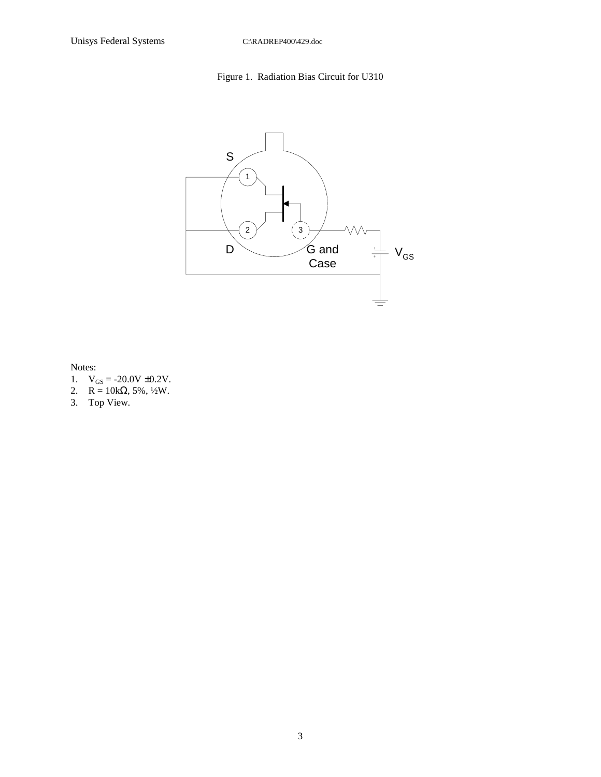### Figure 1. Radiation Bias Circuit for U310



Notes:

- 1.  $V_{GS} = -20.0V \pm 0.2V$ .
- 2.  $R = 10k\Omega, 5\%, \frac{1}{2}W$ .
- 3. Top View.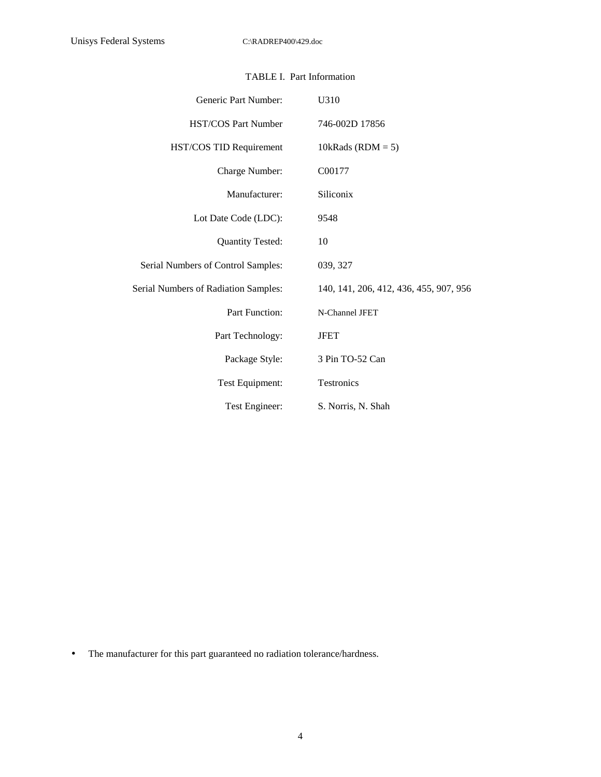| Generic Part Number:                 | U310                                   |  |  |  |  |  |  |
|--------------------------------------|----------------------------------------|--|--|--|--|--|--|
| <b>HST/COS Part Number</b>           | 746-002D 17856                         |  |  |  |  |  |  |
| HST/COS TID Requirement              | 10kRads (RDM = $5$ )                   |  |  |  |  |  |  |
| Charge Number:                       | C00177                                 |  |  |  |  |  |  |
| Manufacturer:                        | Siliconix                              |  |  |  |  |  |  |
| Lot Date Code (LDC):                 | 9548                                   |  |  |  |  |  |  |
| <b>Quantity Tested:</b>              | 10                                     |  |  |  |  |  |  |
| Serial Numbers of Control Samples:   | 039, 327                               |  |  |  |  |  |  |
| Serial Numbers of Radiation Samples: | 140, 141, 206, 412, 436, 455, 907, 956 |  |  |  |  |  |  |
| Part Function:                       | N-Channel JFET                         |  |  |  |  |  |  |
| Part Technology:                     | <b>JFET</b>                            |  |  |  |  |  |  |
| Package Style:                       | 3 Pin TO-52 Can                        |  |  |  |  |  |  |
| Test Equipment:                      | Testronics                             |  |  |  |  |  |  |
| Test Engineer:                       | S. Norris, N. Shah                     |  |  |  |  |  |  |

• The manufacturer for this part guaranteed no radiation tolerance/hardness.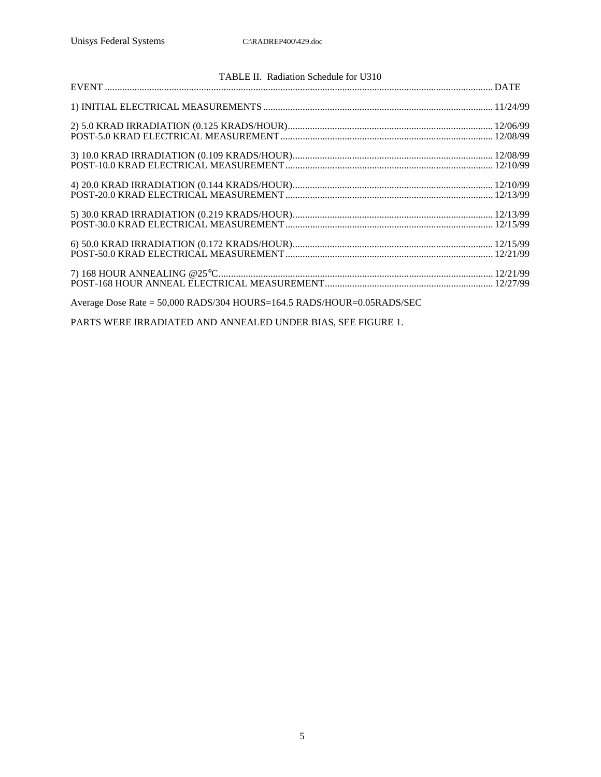| TABLE II. Radiation Schedule for U310                                        |  |  |  |  |  |  |  |
|------------------------------------------------------------------------------|--|--|--|--|--|--|--|
|                                                                              |  |  |  |  |  |  |  |
|                                                                              |  |  |  |  |  |  |  |
|                                                                              |  |  |  |  |  |  |  |
|                                                                              |  |  |  |  |  |  |  |
|                                                                              |  |  |  |  |  |  |  |
|                                                                              |  |  |  |  |  |  |  |
|                                                                              |  |  |  |  |  |  |  |
|                                                                              |  |  |  |  |  |  |  |
|                                                                              |  |  |  |  |  |  |  |
|                                                                              |  |  |  |  |  |  |  |
|                                                                              |  |  |  |  |  |  |  |
|                                                                              |  |  |  |  |  |  |  |
|                                                                              |  |  |  |  |  |  |  |
|                                                                              |  |  |  |  |  |  |  |
| Average Dose Rate = $50,000$ RADS/304 HOURS=164.5 RADS/HOUR= $0.05$ RADS/SEC |  |  |  |  |  |  |  |

PARTS WERE IRRADIATED AND ANNEALED UNDER BIAS, SEE FIGURE 1.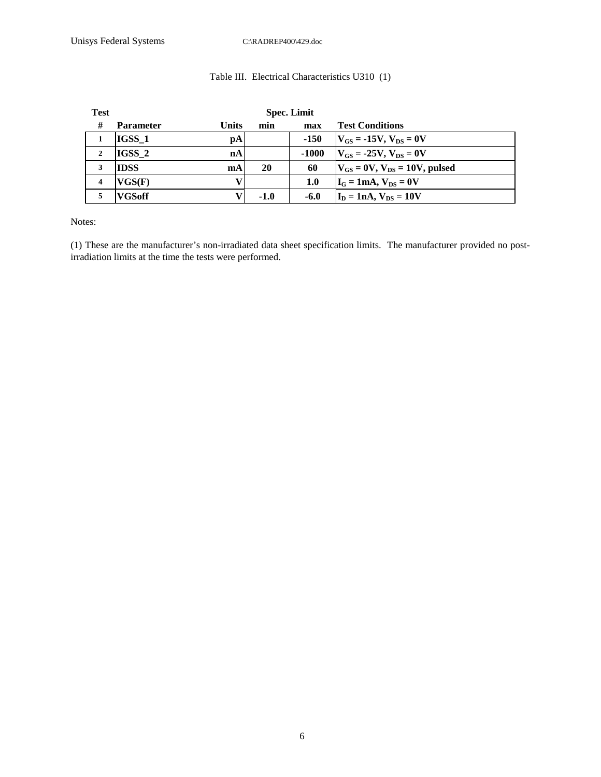### Table III. Electrical Characteristics U310 (1)

| <b>Test</b> |                   |              | <b>Spec. Limit</b> |         |                                       |
|-------------|-------------------|--------------|--------------------|---------|---------------------------------------|
| #           | <b>Parameter</b>  | <b>Units</b> | min                | max     | <b>Test Conditions</b>                |
|             | IGSS 1            | рA           |                    | -150    | $V_{GS}$ = -15V, $V_{DS}$ = 0V        |
| 2           | IGSS <sub>2</sub> | nA           |                    | $-1000$ | $V_{GS} = -25V$ , $V_{DS} = 0V$       |
|             | <b>IDSS</b>       | mA           | 20                 | 60      | $V_{GS}$ = 0V, $V_{DS}$ = 10V, pulsed |
| 4           | VGS(F)            | V            |                    | 1.0     | $I_G = 1mA$ , $V_{DS} = 0V$           |
|             | VGSoff            |              | $-1.0$             | $-6.0$  | $I_D = 1nA$ , $V_{DS} = 10V$          |

Notes:

(1) These are the manufacturer's non-irradiated data sheet specification limits. The manufacturer provided no postirradiation limits at the time the tests were performed.